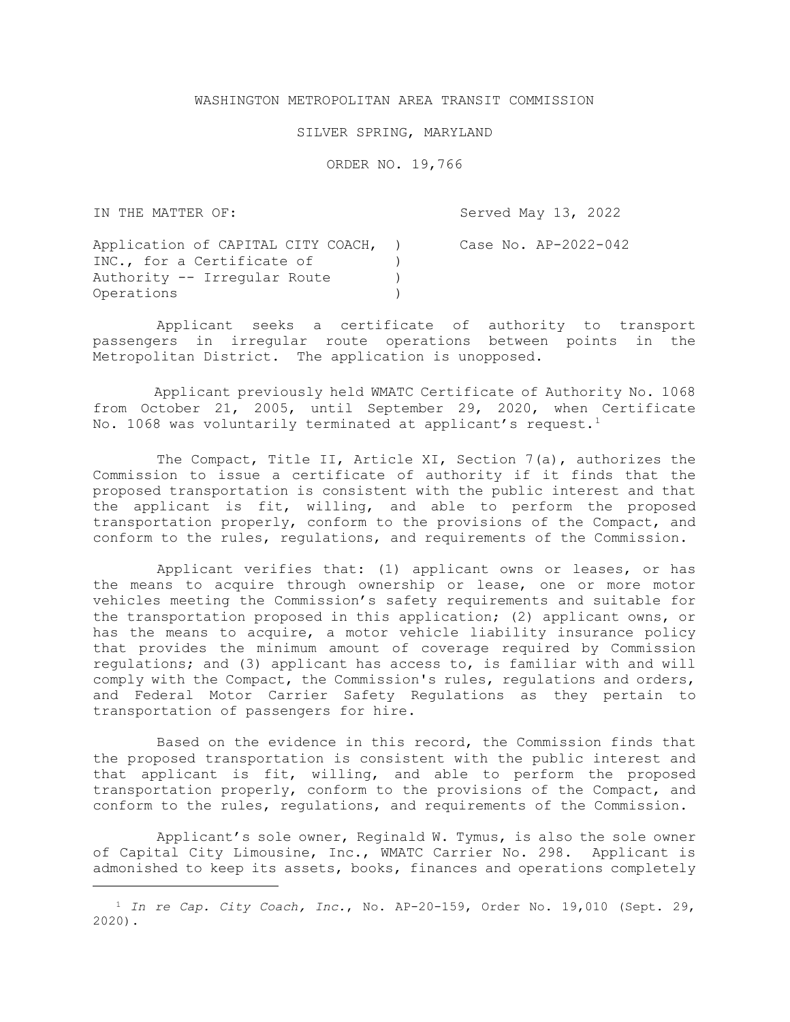## WASHINGTON METROPOLITAN AREA TRANSIT COMMISSION

## SILVER SPRING, MARYLAND

ORDER NO. 19,766

IN THE MATTER OF:

 $\overline{a}$ 

Served May 13, 2022

| Application of CAPITAL CITY COACH, | Case No. AP-2022-042 |
|------------------------------------|----------------------|
| INC., for a Certificate of         |                      |
| Authority -- Irregular Route       |                      |
| Operations                         |                      |

Applicant seeks a certificate of authority to transport passengers in irregular route operations between points in the Metropolitan District. The application is unopposed.

Applicant previously held WMATC Certificate of Authority No. 1068 from October 21, 2005, until September 29, 2020, when Certificate No. 1068 was voluntarily terminated at applicant's request.<sup>1</sup>

The Compact, Title II, Article XI, Section 7(a), authorizes the Commission to issue a certificate of authority if it finds that the proposed transportation is consistent with the public interest and that the applicant is fit, willing, and able to perform the proposed transportation properly, conform to the provisions of the Compact, and conform to the rules, regulations, and requirements of the Commission.

Applicant verifies that: (1) applicant owns or leases, or has the means to acquire through ownership or lease, one or more motor vehicles meeting the Commission's safety requirements and suitable for the transportation proposed in this application; (2) applicant owns, or has the means to acquire, a motor vehicle liability insurance policy that provides the minimum amount of coverage required by Commission regulations; and (3) applicant has access to, is familiar with and will comply with the Compact, the Commission's rules, regulations and orders, and Federal Motor Carrier Safety Regulations as they pertain to transportation of passengers for hire.

Based on the evidence in this record, the Commission finds that the proposed transportation is consistent with the public interest and that applicant is fit, willing, and able to perform the proposed transportation properly, conform to the provisions of the Compact, and conform to the rules, regulations, and requirements of the Commission.

Applicant's sole owner, Reginald W. Tymus, is also the sole owner of Capital City Limousine, Inc., WMATC Carrier No. 298. Applicant is admonished to keep its assets, books, finances and operations completely

<sup>&</sup>lt;sup>1</sup> In re Cap. City Coach, Inc., No. AP-20-159, Order No. 19,010 (Sept. 29, 2020).